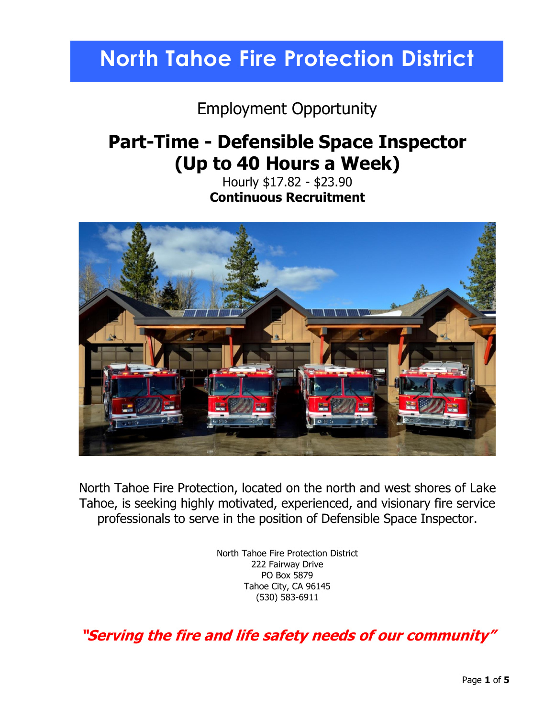# **North Tahoe Fire Protection District**

### Employment Opportunity

## **Part-Time - Defensible Space Inspector (Up to 40 Hours a Week)**

Hourly \$17.82 - \$23.90 **Continuous Recruitment**



North Tahoe Fire Protection, located on the north and west shores of Lake Tahoe, is seeking highly motivated, experienced, and visionary fire service professionals to serve in the position of Defensible Space Inspector.

> North Tahoe Fire Protection District 222 Fairway Drive PO Box 5879 Tahoe City, CA 96145 (530) 583-6911

**"Serving the fire and life safety needs of our community"**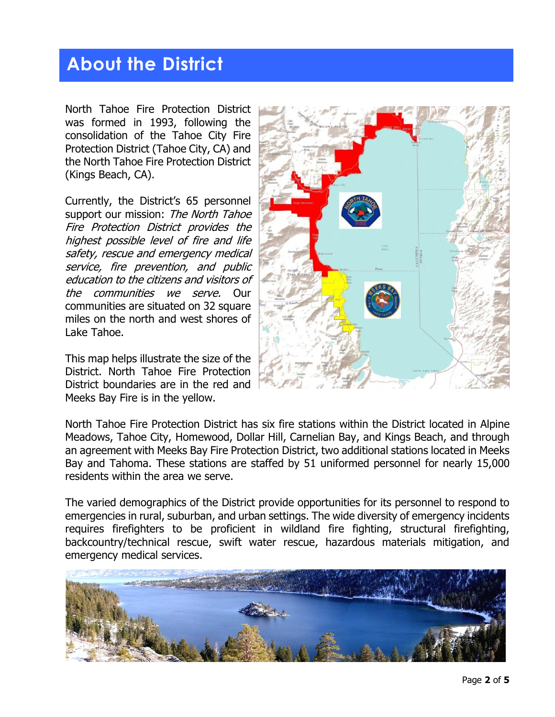## **About the District**

North Tahoe Fire Protection District was formed in 1993, following the consolidation of the Tahoe City Fire Protection District (Tahoe City, CA) and the North Tahoe Fire Protection District (Kings Beach, CA).

Currently, the District's 65 personnel support our mission: The North Tahoe Fire Protection District provides the highest possible level of fire and life safety, rescue and emergency medical service, fire prevention, and public education to the citizens and visitors of the communities we serve. Our communities are situated on 32 square miles on the north and west shores of Lake Tahoe.

This map helps illustrate the size of the District. North Tahoe Fire Protection District boundaries are in the red and Meeks Bay Fire is in the yellow.



North Tahoe Fire Protection District has six fire stations within the District located in Alpine Meadows, Tahoe City, Homewood, Dollar Hill, Carnelian Bay, and Kings Beach, and through an agreement with Meeks Bay Fire Protection District, two additional stations located in Meeks Bay and Tahoma. These stations are staffed by 51 uniformed personnel for nearly 15,000 residents within the area we serve.

The varied demographics of the District provide opportunities for its personnel to respond to emergencies in rural, suburban, and urban settings. The wide diversity of emergency incidents requires firefighters to be proficient in wildland fire fighting, structural firefighting, backcountry/technical rescue, swift water rescue, hazardous materials mitigation, and emergency medical services.

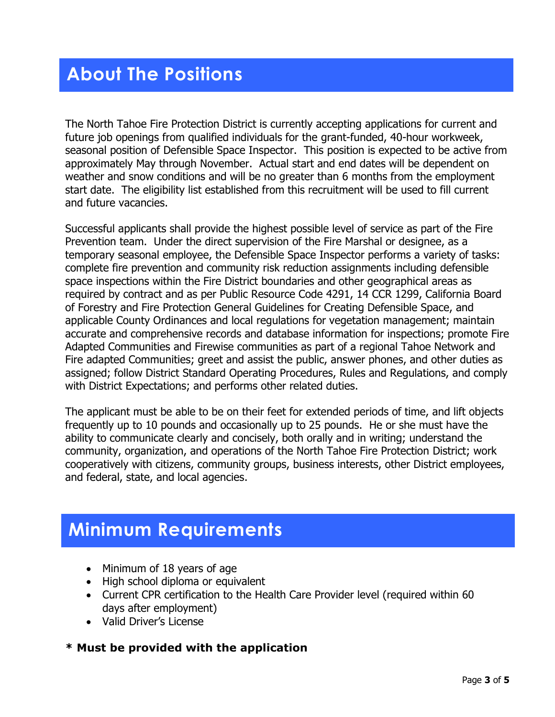## **About The Positions**

The North Tahoe Fire Protection District is currently accepting applications for current and future job openings from qualified individuals for the grant-funded, 40-hour workweek, seasonal position of Defensible Space Inspector. This position is expected to be active from approximately May through November. Actual start and end dates will be dependent on weather and snow conditions and will be no greater than 6 months from the employment start date. The eligibility list established from this recruitment will be used to fill current and future vacancies.

Successful applicants shall provide the highest possible level of service as part of the Fire Prevention team. Under the direct supervision of the Fire Marshal or designee, as a temporary seasonal employee, the Defensible Space Inspector performs a variety of tasks: complete fire prevention and community risk reduction assignments including defensible space inspections within the Fire District boundaries and other geographical areas as required by contract and as per Public Resource Code 4291, 14 CCR 1299, California Board of Forestry and Fire Protection General Guidelines for Creating Defensible Space, and applicable County Ordinances and local regulations for vegetation management; maintain accurate and comprehensive records and database information for inspections; promote Fire Adapted Communities and Firewise communities as part of a regional Tahoe Network and Fire adapted Communities; greet and assist the public, answer phones, and other duties as assigned; follow District Standard Operating Procedures, Rules and Regulations, and comply with District Expectations; and performs other related duties.

The applicant must be able to be on their feet for extended periods of time, and lift objects frequently up to 10 pounds and occasionally up to 25 pounds. He or she must have the ability to communicate clearly and concisely, both orally and in writing; understand the community, organization, and operations of the North Tahoe Fire Protection District; work cooperatively with citizens, community groups, business interests, other District employees, and federal, state, and local agencies.

## **Minimum Requirements**

- Minimum of 18 years of age
- High school diploma or equivalent
- Current CPR certification to the Health Care Provider level (required within 60 days after employment)
- Valid Driver's License

### **\* Must be provided with the application**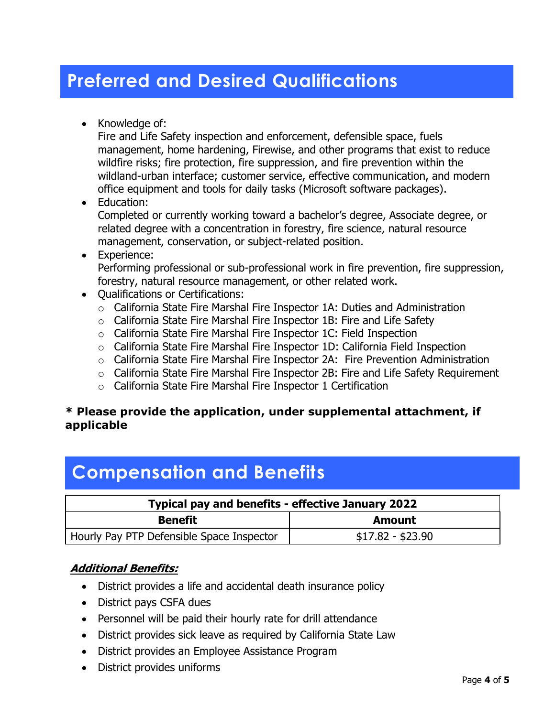## **Preferred and Desired Qualifications**

• Knowledge of:

Fire and Life Safety inspection and enforcement, defensible space, fuels management, home hardening, Firewise, and other programs that exist to reduce wildfire risks; fire protection, fire suppression, and fire prevention within the wildland-urban interface; customer service, effective communication, and modern office equipment and tools for daily tasks (Microsoft software packages).

#### • Education:

Completed or currently working toward a bachelor's degree, Associate degree, or related degree with a concentration in forestry, fire science, natural resource management, conservation, or subject-related position.

# • Experience:

Performing professional or sub-professional work in fire prevention, fire suppression, forestry, natural resource management, or other related work.

- Qualifications or Certifications:
	- o California State Fire Marshal Fire Inspector 1A: Duties and Administration
	- o California State Fire Marshal Fire Inspector 1B: Fire and Life Safety
	- o California State Fire Marshal Fire Inspector 1C: Field Inspection
	- o California State Fire Marshal Fire Inspector 1D: California Field Inspection
	- $\circ$  California State Fire Marshal Fire Inspector 2A: Fire Prevention Administration
	- o California State Fire Marshal Fire Inspector 2B: Fire and Life Safety Requirement
	- o California State Fire Marshal Fire Inspector 1 Certification

### **\* Please provide the application, under supplemental attachment, if applicable**

# **Compensation and Benefits**

| Typical pay and benefits - effective January 2022 |                   |
|---------------------------------------------------|-------------------|
| <b>Benefit</b>                                    | Amount            |
| Hourly Pay PTP Defensible Space Inspector         | $$17.82 - $23.90$ |

### **Additional Benefits:**

- District provides a life and accidental death insurance policy
- District pays CSFA dues
- Personnel will be paid their hourly rate for drill attendance
- District provides sick leave as required by California State Law
- District provides an Employee Assistance Program
- District provides uniforms